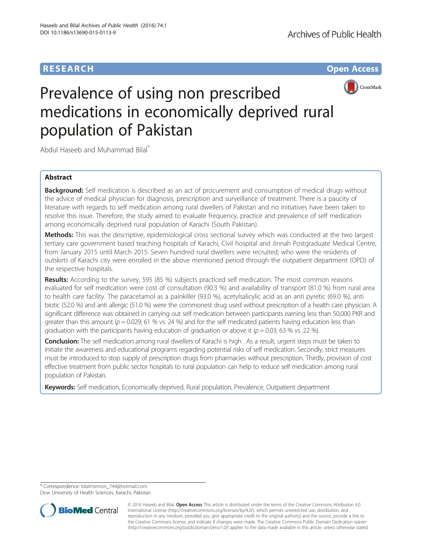# **RESEARCH CHE Open Access**



# Prevalence of using non prescribed medications in economically deprived rural population of Pakistan

Abdul Haseeb and Muhammad Bilal\*

# Abstract

**Background:** Self medication is described as an act of procurement and consumption of medical drugs without the advice of medical physician for diagnosis, prescription and surveillance of treatment. There is a paucity of literature with regards to self medication among rural dwellers of Pakistan and no initiatives have been taken to resolve this issue. Therefore, the study aimed to evaluate frequency, practice and prevalence of self medication among economically deprived rural population of Karachi (South Pakistan).

Methods: This was the descriptive, epidemiological cross sectional survey which was conducted at the two largest tertiary care government based teaching hospitals of Karachi, Civil hospital and Jinnah Postgraduate Medical Centre, from January 2015 until March 2015. Seven hundred rural dwellers were recruited; who were the residents of outskirts of Karachi city were enrolled in the above mentioned period through the outpatient department (OPD) of the respective hospitals.

Results: According to the survey, 595 (85 %) subjects practiced self medication. The most common reasons evaluated for self medication were cost of consultation (90.3 %) and availability of transport (81.0 %) from rural area to health care facility. The paracetamol as a painkiller (93.0 %), acetylsalicylic acid as an anti pyretic (69.0 %), anti biotic (52.0 %) and anti allergic (51.0 %) were the commonest drug used without prescription of a health care physician. A significant difference was obtained in carrying out self medication between participants earning less than 50,000 PKR and greater than this amount ( $p = 0.029$ ; 61 % vs. 24 %) and for the self medicated patients having education less than graduation with the participants having education of graduation or above it ( $p = 0.03$ ; 63 % vs. 22 %).

Conclusion: The self medication among rural dwellers of Karachi is high . As a result, urgent steps must be taken to initiate the awareness and educational programs regarding potential risks of self medication. Secondly, strict measures must be introduced to stop supply of prescription drugs from pharmacies without prescription. Thirdly, provision of cost effective treatment from public sector hospitals to rural population can help to reduce self medication among rural population of Pakistan.

Keywords: Self medication, Economically deprived, Rural population, Prevalence, Outpatient department

\* Correspondence: [bilalmemon\\_744@hotmail.com](mailto:bilalmemon_744@hotmail.com)

Dow University of Health Sciences, Karachi, Pakistan



© 2016 Haseeb and Bilal. Open Access This article is distributed under the terms of the Creative Commons Attribution 4.0 International License [\(http://creativecommons.org/licenses/by/4.0/](http://creativecommons.org/licenses/by/4.0/)), which permits unrestricted use, distribution, and reproduction in any medium, provided you give appropriate credit to the original author(s) and the source, provide a link to the Creative Commons license, and indicate if changes were made. The Creative Commons Public Domain Dedication waiver [\(http://creativecommons.org/publicdomain/zero/1.0/](http://creativecommons.org/publicdomain/zero/1.0/)) applies to the data made available in this article, unless otherwise stated.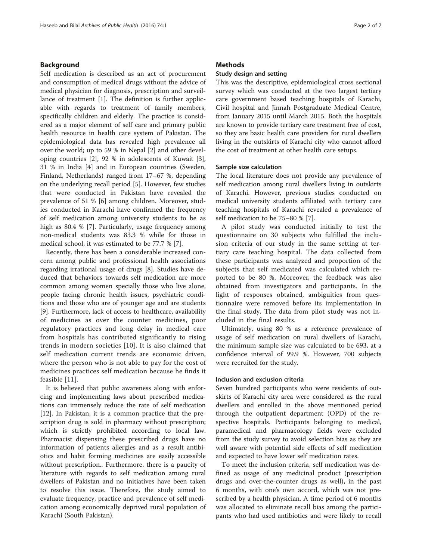# Background

Self medication is described as an act of procurement and consumption of medical drugs without the advice of medical physician for diagnosis, prescription and surveillance of treatment [[1](#page-5-0)]. The definition is further applicable with regards to treatment of family members, specifically children and elderly. The practice is considered as a major element of self care and primary public health resource in health care system of Pakistan. The epidemiological data has revealed high prevalence all over the world; up to 59 % in Nepal [[2\]](#page-5-0) and other developing countries [\[2](#page-5-0)], 92 % in adolescents of Kuwait [\[3](#page-5-0)], 31 % in India [\[4](#page-5-0)] and in European countries (Sweden, Finland, Netherlands) ranged from 17–67 %, depending on the underlying recall period [[5\]](#page-5-0). However, few studies that were conducted in Pakistan have revealed the prevalence of 51 % [\[6](#page-5-0)] among children. Moreover, studies conducted in Karachi have confirmed the frequency of self medication among university students to be as high as 80.4 % [\[7](#page-5-0)]. Particularly, usage frequency among non-medical students was 83.3 % while for those in medical school, it was estimated to be 77.7 % [\[7\]](#page-5-0).

Recently, there has been a considerable increased concern among public and professional health associations regarding irrational usage of drugs [[8\]](#page-5-0). Studies have deduced that behaviors towards self medication are more common among women specially those who live alone, people facing chronic health issues, psychiatric conditions and those who are of younger age and are students [[9\]](#page-5-0). Furthermore, lack of access to healthcare, availability of medicines as over the counter medicines, poor regulatory practices and long delay in medical care from hospitals has contributed significantly to rising trends in modern societies [[10](#page-5-0)]. It is also claimed that self medication current trends are economic driven, where the person who is not able to pay for the cost of medicines practices self medication because he finds it feasible [[11\]](#page-5-0).

It is believed that public awareness along with enforcing and implementing laws about prescribed medications can immensely reduce the rate of self medication [[12\]](#page-5-0). In Pakistan, it is a common practice that the prescription drug is sold in pharmacy without prescription; which is strictly prohibited according to local law. Pharmacist dispensing these prescribed drugs have no information of patients allergies and as a result antibiotics and habit forming medicines are easily accessible without prescription.. Furthermore, there is a paucity of literature with regards to self medication among rural dwellers of Pakistan and no initiatives have been taken to resolve this issue. Therefore, the study aimed to evaluate frequency, practice and prevalence of self medication among economically deprived rural population of Karachi (South Pakistan).

#### **Methods**

#### Study design and setting

This was the descriptive, epidemiological cross sectional survey which was conducted at the two largest tertiary care government based teaching hospitals of Karachi, Civil hospital and Jinnah Postgraduate Medical Centre, from January 2015 until March 2015. Both the hospitals are known to provide tertiary care treatment free of cost, so they are basic health care providers for rural dwellers living in the outskirts of Karachi city who cannot afford the cost of treatment at other health care setups.

#### Sample size calculation

The local literature does not provide any prevalence of self medication among rural dwellers living in outskirts of Karachi. However, previous studies conducted on medical university students affiliated with tertiary care teaching hospitals of Karachi revealed a prevalence of self medication to be 75–80 % [[7\]](#page-5-0).

A pilot study was conducted initially to test the questionnaire on 30 subjects who fulfilled the inclusion criteria of our study in the same setting at tertiary care teaching hospital. The data collected from these participants was analyzed and proportion of the subjects that self medicated was calculated which reported to be 80 %. Moreover, the feedback was also obtained from investigators and participants. In the light of responses obtained, ambiguities from questionnaire were removed before its implementation in the final study. The data from pilot study was not included in the final results.

Ultimately, using 80 % as a reference prevalence of usage of self medication on rural dwellers of Karachi, the minimum sample size was calculated to be 693, at a confidence interval of 99.9 %. However, 700 subjects were recruited for the study.

### Inclusion and exclusion criteria

Seven hundred participants who were residents of outskirts of Karachi city area were considered as the rural dwellers and enrolled in the above mentioned period through the outpatient department (OPD) of the respective hospitals. Participants belonging to medical, paramedical and pharmacology fields were excluded from the study survey to avoid selection bias as they are well aware with potential side effects of self medication and expected to have lower self medication rates.

To meet the inclusion criteria, self medication was defined as usage of any medicinal product (prescription drugs and over-the-counter drugs as well), in the past 6 months, with one's own accord, which was not prescribed by a health physician. A time period of 6 months was allocated to eliminate recall bias among the participants who had used antibiotics and were likely to recall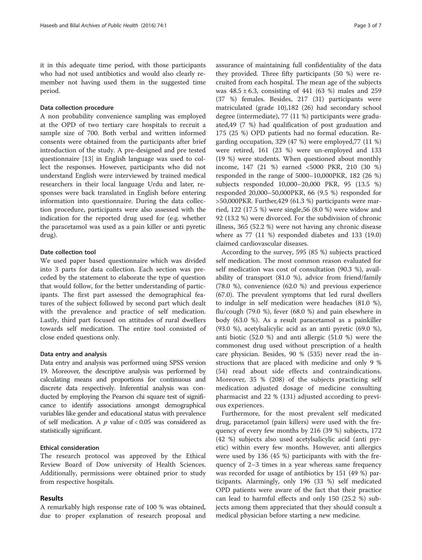it in this adequate time period, with those participants who had not used antibiotics and would also clearly remember not having used them in the suggested time period.

#### Data collection procedure

A non probability convenience sampling was employed at the OPD of two tertiary care hospitals to recruit a sample size of 700. Both verbal and written informed consents were obtained from the participants after brief introduction of the study. A pre-designed and pre tested questionnaire [\[13\]](#page-5-0) in English language was used to collect the responses. However, participants who did not understand English were interviewed by trained medical researchers in their local language Urdu and later, responses were back translated in English before entering information into questionnaire. During the data collection procedure, participants were also assessed with the indication for the reported drug used for (e.g. whether the paracetamol was used as a pain killer or anti pyretic drug).

#### Date collection tool

We used paper based questionnaire which was divided into 3 parts for data collection. Each section was preceded by the statement to elaborate the type of question that would follow, for the better understanding of participants. The first part assessed the demographical features of the subject followed by second part which dealt with the prevalence and practice of self medication. Lastly, third part focused on attitudes of rural dwellers towards self medication. The entire tool consisted of close ended questions only.

#### Data entry and analysis

Data entry and analysis was performed using SPSS version 19. Moreover, the descriptive analysis was performed by calculating means and proportions for continuous and discrete data respectively. Inferential analysis was conducted by employing the Pearson chi square test of significance to identify associations amongst demographical variables like gender and educational status with prevalence of self medication. A  $p$  value of < 0.05 was considered as statistically significant.

## Ethical consideration

The research protocol was approved by the Ethical Review Board of Dow university of Health Sciences. Additionally, permissions were obtained prior to study from respective hospitals.

### Results

A remarkably high response rate of 100 % was obtained, due to proper explanation of research proposal and assurance of maintaining full confidentiality of the data they provided. Three fifty participants (50 %) were recruited from each hospital. The mean age of the subjects was  $48.5 \pm 6.3$ , consisting of  $441$  (63 %) males and 259 (37 %) females. Besides, 217 (31) participants were matriculated (grade 10),182 (26) had secondary school degree (intermediate), 77 (11 %) participants were graduated,49 (7 %) had qualification of post graduation and 175 (25 %) OPD patients had no formal education. Regarding occupation, 329 (47 %) were employed,77 (11 %) were retired, 161 (23 %) were un-employed and 133 (19 %) were students. When questioned about monthly income, 147 (21 %) earned <5000 PKR, 210 (30 %) responded in the range of 5000–10,000PKR, 182 (26 %) subjects responded 10,000–20,000 PKR, 95 (13.5 %) responded 20,000–50,000PKR, 66 (9.5 %) responded for >50,000PKR. Further,429 (61.3 %) participants were married, 122 (17.5 %) were single,56 (8.0 %) were widow and 92 (13.2 %) were divorced. For the subdivision of chronic illness, 365 (52.2 %) were not having any chronic disease where as 77 (11 %) responded diabetes and 133 (19.0) claimed cardiovascular diseases.

According to the survey, 595 (85 %) subjects practiced self medication. The most common reason evaluated for self medication was cost of consultation (90.3 %), availability of transport (81.0 %), advice from friend/family (78.0 %), convenience (62.0 %) and previous experience (67.0). The prevalent symptoms that led rural dwellers to indulge in self medication were headaches (81.0 %), flu/cough (79.0 %), fever (68.0 %) and pain elsewhere in body (63.0 %). As a result paracetamol as a painkiller (93.0 %), acetylsalicylic acid as an anti pyretic (69.0 %), anti biotic (52.0 %) and anti allergic (51.0 %) were the commonest drug used without prescription of a health care physician. Besides, 90 % (535) never read the instructions that are placed with medicine and only 9 % (54) read about side effects and contraindications. Moreover, 35 % (208) of the subjects practicing self medication adjusted dosage of medicine consulting pharmacist and 22 % (131) adjusted according to previous experiences.

Furthermore, for the most prevalent self medicated drug, paracetamol (pain killers) were used with the frequency of every few months by 216 (39 %) subjects, 172 (42 %) subjects also used acetylsalicylic acid (anti pyretic) within every few months. However, anti allergics were used by 136 (45 %) participants with with the frequency of 2–3 times in a year whereas same frequency was recorded for usage of antibiotics by 151 (49 %) participants. Alarmingly, only 196 (33 %) self medicated OPD patients were aware of the fact that their practice can lead to harmful effects and only 150 (25.2 %) subjects among them appreciated that they should consult a medical physician before starting a new medicine.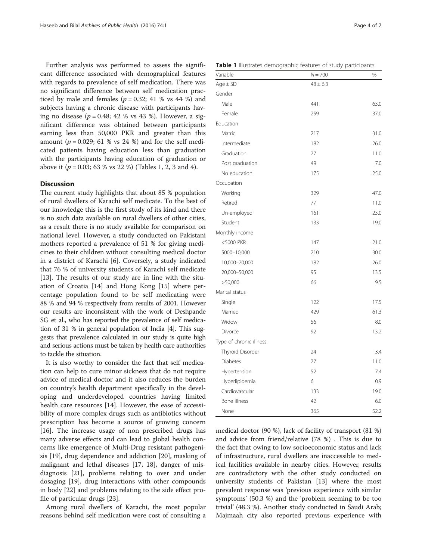Further analysis was performed to assess the significant difference associated with demographical features with regards to prevalence of self medication. There was no significant difference between self medication practiced by male and females ( $p = 0.32$ ; 41 % vs 44 %) and subjects having a chronic disease with participants having no disease ( $p = 0.48$ ; 42 % vs 43 %). However, a significant difference was obtained between participants earning less than 50,000 PKR and greater than this amount ( $p = 0.029$ ; 61 % vs 24 %) and for the self medicated patients having education less than graduation with the participants having education of graduation or above it ( $p = 0.03$ ; 63 % vs [2](#page-4-0)2 %) (Tables 1, 2, [3](#page-4-0) and [4\)](#page-4-0).

## **Discussion**

The current study highlights that about 85 % population of rural dwellers of Karachi self medicate. To the best of our knowledge this is the first study of its kind and there is no such data available on rural dwellers of other cities, as a result there is no study available for comparison on national level. However, a study conducted on Pakistani mothers reported a prevalence of 51 % for giving medicines to their children without consulting medical doctor in a district of Karachi [\[6](#page-5-0)]. Coversely, a study indicated that 76 % of university students of Karachi self medicate [[13\]](#page-5-0). The results of our study are in line with the situation of Croatia [\[14](#page-5-0)] and Hong Kong [[15\]](#page-5-0) where percentage population found to be self medicating were 88 % and 94 % respectively from results of 2001. However our results are inconsistent with the work of Deshpande SG et al., who has reported the prevalence of self medication of 31 % in general population of India [\[4\]](#page-5-0). This suggests that prevalence calculated in our study is quite high and serious actions must be taken by health care authorities to tackle the situation.

It is also worthy to consider the fact that self medication can help to cure minor sickness that do not require advice of medical doctor and it also reduces the burden on country's health department specifically in the developing and underdeveloped countries having limited health care resources [[14\]](#page-5-0). However, the ease of accessibility of more complex drugs such as antibiotics without prescription has become a source of growing concern [[16\]](#page-6-0). The increase usage of non prescribed drugs has many adverse effects and can lead to global health concerns like emergence of Multi-Drug resistant pathogenisis [\[19\]](#page-6-0), drug dependence and addiction [\[20](#page-6-0)], masking of malignant and lethal diseases [[17, 18\]](#page-6-0), danger of misdiagnosis [[21](#page-6-0)], problems relating to over and under dosaging [[19\]](#page-6-0), drug interactions with other compounds in body [\[22](#page-6-0)] and problems relating to the side effect profile of particular drugs [\[23\]](#page-6-0).

Among rural dwellers of Karachi, the most popular reasons behind self medication were cost of consulting a

| Variable                | $N = 700$    | %    |  |
|-------------------------|--------------|------|--|
| $Age \pm SD$            | $48 \pm 6.3$ |      |  |
| Gender                  |              |      |  |
| Male                    | 441          | 63.0 |  |
| Female                  | 259          | 37.0 |  |
| Education               |              |      |  |
| Matric                  | 217          | 31.0 |  |
| Intermediate            | 182          | 26.0 |  |
| Graduation              | 77           | 11.0 |  |
| Post graduation         | 49           | 7.0  |  |
| No education            | 175          | 25.0 |  |
| Occupation              |              |      |  |
| Working                 | 329          | 47.0 |  |
| Retired                 | 77           | 11.0 |  |
| Un-employed             | 161          | 23.0 |  |
| Student                 | 133          | 19.0 |  |
| Monthly income          |              |      |  |
| <5000 PKR               | 147          | 21.0 |  |
| 5000-10,000             | 210          | 30.0 |  |
| 10,000-20,000           | 182          | 26.0 |  |
| 20,000-50,000           | 95           | 13.5 |  |
| >50,000                 | 66           | 9.5  |  |
| Marital status          |              |      |  |
| Single                  | 122          | 17.5 |  |
| Married                 | 429          | 61.3 |  |
| Widow                   | 56           | 8.0  |  |
| Divorce                 | 92           | 13.2 |  |
| Type of chronic illness |              |      |  |
| Thyroid Disorder        | 24           | 3.4  |  |
| <b>Diabetes</b>         | 77           | 11.0 |  |
| Hypertension            | 52           | 7.4  |  |
| Hyperlipidemia          | 6            | 0.9  |  |
| Cardiovascular          | 133          | 19.0 |  |
| <b>Bone illness</b>     | 42           | 6.0  |  |
| None                    | 365          | 52.2 |  |

medical doctor (90 %), lack of facility of transport (81 %) and advice from friend/relative (78 %) . This is due to the fact that owing to low socioeconomic status and lack of infrastructure, rural dwellers are inaccessible to medical facilities available in nearby cities. However, results are contradictory with the other study conducted on university students of Pakistan [\[13\]](#page-5-0) where the most prevalent response was 'previous experience with similar symptoms' (50.3 %) and the 'problem seeming to be too trivial' (48.3 %). Another study conducted in Saudi Arab; Majmaah city also reported previous experience with

|  | Table 1 Illustrates demographic features of study participants |  |  |
|--|----------------------------------------------------------------|--|--|
|  |                                                                |  |  |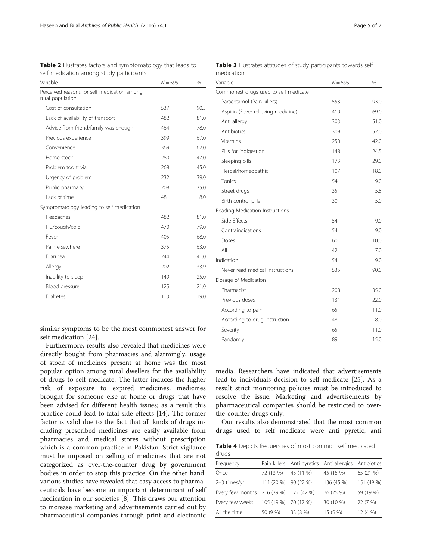<span id="page-4-0"></span>Table 2 Illustrates factors and symptomatology that leads to

| self medication among study participants                        |           |               |  |  |
|-----------------------------------------------------------------|-----------|---------------|--|--|
| Variable                                                        | $N = 595$ | $\frac{0}{0}$ |  |  |
| Perceived reasons for self medication among<br>rural population |           |               |  |  |
| Cost of consultation                                            | 537       | 90.3          |  |  |
| Lack of availability of transport                               | 482       | 81.0          |  |  |
| Advice from friend/family was enough                            | 464       | 78.0          |  |  |
| Previous experience                                             | 399       | 67.0          |  |  |
| Convenience                                                     | 369       | 62.0          |  |  |
| Home stock                                                      | 280       | 47.0          |  |  |
| Problem too trivial                                             | 268       | 45.0          |  |  |
| Urgency of problem                                              | 232       | 39.0          |  |  |
| Public pharmacy                                                 | 208       | 35.0          |  |  |
| Lack of time                                                    | 48        | 8.0           |  |  |
| Symptomatology leading to self medication                       |           |               |  |  |
| Headaches                                                       | 482       | 81.0          |  |  |
| Flu/cough/cold                                                  | 470       | 79.0          |  |  |
| Fever                                                           | 405       | 68.0          |  |  |
| Pain elsewhere                                                  | 375       | 63.0          |  |  |
| Diarrhea                                                        | 244       | 41.0          |  |  |
| Allergy                                                         | 202       | 33.9          |  |  |
| Inability to sleep                                              | 149       | 25.0          |  |  |
| Blood pressure                                                  | 125       | 21.0          |  |  |
| <b>Diabetes</b>                                                 | 113       | 19.0          |  |  |

similar symptoms to be the most commonest answer for self medication [[24\]](#page-6-0).

Furthermore, results also revealed that medicines were directly bought from pharmacies and alarmingly, usage of stock of medicines present at home was the most popular option among rural dwellers for the availability of drugs to self medicate. The latter induces the higher risk of exposure to expired medicines, medicines brought for someone else at home or drugs that have been advised for different health issues; as a result this practice could lead to fatal side effects [\[14\]](#page-5-0). The former factor is valid due to the fact that all kinds of drugs including prescribed medicines are easily available from pharmacies and medical stores without prescription which is a common practice in Pakistan. Strict vigilance must be imposed on selling of medicines that are not categorized as over-the-counter drug by government bodies in order to stop this practice. On the other hand, various studies have revealed that easy access to pharmaceuticals have become an important determinant of self medication in our societies [\[8](#page-5-0)]. This draws our attention to increase marketing and advertisements carried out by pharmaceutical companies through print and electronic

| Variable                              | $N = 595$ | %    |  |
|---------------------------------------|-----------|------|--|
| Commonest drugs used to self medicate |           |      |  |
| Paracetamol (Pain killers)            | 553       | 93.0 |  |
| Aspirin (Fever relieving medicine)    | 410       | 69.0 |  |
| Anti allergy                          | 303       | 51.0 |  |
| Antibiotics                           | 309       | 52.0 |  |
| Vitamins                              | 250       | 42.0 |  |
| Pills for indigestion                 | 148       | 24.5 |  |
| Sleeping pills                        | 173       | 29.0 |  |
| Herbal/homeopathic                    | 107       | 18.0 |  |
| Tonics                                | 54        | 9.0  |  |
| Street drugs                          | 35        | 5.8  |  |
| Birth control pills                   | 30        | 5.0  |  |
| Reading Medication Instructions       |           |      |  |
| Side Effects                          | 54        | 9.0  |  |
| Contraindications                     | 54        | 9.0  |  |
| Doses                                 | 60        | 10.0 |  |
| All                                   | 42        | 7.0  |  |
| Indication                            | 54        | 9.0  |  |
| Never read medical instructions       | 535       | 90.0 |  |
| Dosage of Medication                  |           |      |  |
| Pharmacist                            | 208       | 35.0 |  |
| Previous doses                        | 131       | 22.0 |  |

Table 3 Illustrates attitudes of study participants towards self medication

media. Researchers have indicated that advertisements lead to individuals decision to self medicate [\[25](#page-6-0)]. As a result strict monitoring policies must be introduced to resolve the issue. Marketing and advertisements by pharmaceutical companies should be restricted to overthe-counter drugs only.

According to pain 65 11.0 According to drug instruction 48 48 8.0 Severity 65 11.0 Randomly 89 15.0

Our results also demonstrated that the most common drugs used to self medicate were anti pyretic, anti

Table 4 Depicts frequencies of most common self medicated drugs

| Frequency                              |                      |           | Pain killers Anti pyretics Anti allergics Antibiotics |            |  |
|----------------------------------------|----------------------|-----------|-------------------------------------------------------|------------|--|
| Once                                   | 72 (13 %)            | 45 (11 %) | 45 (15 %)                                             | 65 (21 %)  |  |
| 2-3 times/yr                           | 111 (20 %) 90 (22 %) |           | 136 (45 %)                                            | 151 (49 %) |  |
| Every few months 216 (39 %) 172 (42 %) |                      |           | 76 (25 %)                                             | 59 (19 %)  |  |
| Every few weeks                        | 105 (19 %) 70 (17 %) |           | 30 (10 %)                                             | 22 (7 %)   |  |
| All the time                           | 50 (9 %)             | 33 (8 %)  | 15 (5 %)                                              | 12 (4 %)   |  |
|                                        |                      |           |                                                       |            |  |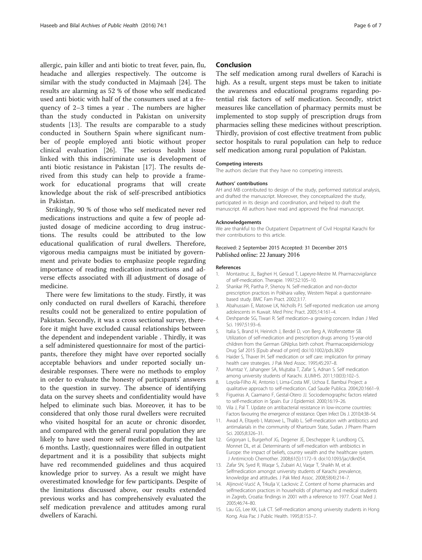<span id="page-5-0"></span>allergic, pain killer and anti biotic to treat fever, pain, flu, headache and allergies respectively. The outcome is similar with the study conducted in Majmaah [\[24](#page-6-0)]. The results are alarming as 52 % of those who self medicated used anti biotic with half of the consumers used at a frequency of 2–3 times a year . The numbers are higher than the study conducted in Pakistan on university students [13]. The results are comparable to a study conducted in Southern Spain where significant number of people employed anti biotic without proper clinical evaluation [\[26](#page-6-0)]. The serious health issue linked with this indiscriminate use is development of anti biotic resistance in Pakistan [[17\]](#page-6-0). The results derived from this study can help to provide a framework for educational programs that will create knowledge about the risk of self-prescribed antibiotics in Pakistan.

Strikingly, 90 % of those who self medicated never red medications instructions and quite a few of people adjusted dosage of medicine according to drug instructions. The results could be attributed to the low educational qualification of rural dwellers. Therefore, vigorous media campaigns must be initiated by government and private bodies to emphasize people regarding importance of reading medication instructions and adverse effects associated with ill adjustment of dosage of medicine.

There were few limitations to the study. Firstly, it was only conducted on rural dwellers of Karachi, therefore results could not be generalized to entire population of Pakistan. Secondly, it was a cross sectional survey, therefore it might have excluded causal relationships between the dependent and independent variable . Thirdly, it was a self administered questionnaire for most of the participants, therefore they might have over reported socially acceptable behaviors and under reported socially undesirable responses. There were no methods to employ in order to evaluate the honesty of participants' answers to the question in survey. The absence of identifying data on the survey sheets and confidentiality would have helped to eliminate such bias. Moreover, it has to be considered that only those rural dwellers were recruited who visited hospital for an acute or chronic disorder, and compared with the general rural population they are likely to have used more self medication during the last 6 months. Lastly, questionnaires were filled in outpatient department and it is a possibility that subjects might have red recommended guidelines and thus acquired knowledge prior to survey. As a result we might have overestimated knowledge for few participants. Despite of the limitations discussed above, our results extended previous works and has comprehensively evaluated the self medication prevalence and attitudes among rural dwellers of Karachi.

## Conclusion

The self medication among rural dwellers of Karachi is high. As a result, urgent steps must be taken to initiate the awareness and educational programs regarding potential risk factors of self medication. Secondly, strict measures like cancellation of pharmacy permits must be implemented to stop supply of prescription drugs from pharmacies selling these medicines without prescription. Thirdly, provision of cost effective treatment from public sector hospitals to rural population can help to reduce self medication among rural population of Pakistan.

#### Competing interests

The authors declare that they have no competing interests.

#### Authors' contributions

AH and MB contributed to design of the study, performed statistical analysis, and drafted the manuscript. Moreover, they conceptualized the study, participated in its design and coordination, and helped to draft the manuscript. All authors have read and approved the final manuscript.

#### Acknowledgements

We are thankful to the Outpatient Department of Civil Hospital Karachi for their contributions to this article.

#### Received: 2 September 2015 Accepted: 31 December 2015 Published online: 22 January 2016

#### References

- Montastruc JL, Bagheri H, Geraud T, Lapeyre-Mestre M. Pharmacovigilance of self-medication. Therapie. 1997;52:105–10.
- 2. Shankar PR, Partha P, Shenoy N. Self-medication and non-doctor prescription practices in Pokhara valley, Western Nepal: a questionnairebased study. BMC Fam Pract. 2002;3:17.
- 3. Abahussain E, Matowe LK, Nicholls PJ. Self-reported medication use among adolescents in Kuwait. Med Princ Pract. 2005;14:161–4.
- 4. Deshpande SG, Tiwari R. Self medication–a growing concern. Indian J Med Sci. 1997;51:93–6.
- 5. Italia S, Brand H, Heinrich J, Berdel D, von Berg A, Wolfenstetter SB. Utilization of self-medication and prescription drugs among 15-year-old children from the German GINIplus birth cohort. Pharmacoepidemiology Drug Saf 2015 [Epub ahead of print] doi[:10.1002/pds.3829](http://dx.doi.org/10.1002/pds.3829)
- 6. Haider S, Thaver IH. Self medication or self care: implication for primary health care strategies. J Pak Med Assoc. 1995;45:297–8.
- 7. Mumtaz Y, Jahangeer SA, Mujtaba T, Zafar S, Adnan S. Self medication among university students of Karachi. JLUMHS. 2011:10(03):102-5.
- 8. Loyola-Filho AI, Antonio I, Lima-Costa MF, Uchoa E. Bambui Project: a qualitative approach to self-medication. Cad Saude Publica. 2004;20:1661–9.
- 9. Figueiras A, Caamano F, Gestal-Otero JJ. Sociodemographic factors related to self-medication in Spain. Eur J Epidemiol. 2000;16:19–26.
- 10. Vila J, Pal T. Update on antibacterial resistance in low-income countries: Factors favouring the emergence of resistance. Open Infect Dis J. 2010;4:38–54.
- 11. Awad A, Eltayeb I, Matowe L, Thalib L. Self-medication with antibiotics and antimalarials in the community of Khartoum State, Sudan. J Pharm Pharm Sci. 2005;8:326–31.
- 12. Grigoryan L, Burgerhof JG, Degener JE, Deschepper R, Lundborg CS, Monnet DL, et al. Determinants of self-medication with antibiotics in Europe: the impact of beliefs, country wealth and the healthcare system. J Antimicrob Chemother. 2008;61(5):1172–9. doi[:10.1093/jac/dkn054](http://dx.doi.org/10.1093/jac/dkn054).
- 13. Zafar SN, Syed R, Waqar S, Zubairi AJ, Vaqar T, Shaikh M, et al. Selfmedication amongst university students of Karachi: prevalence, knowledge and attitudes. J Pak Med Assoc. 2008;58(4):214–7.
- 14. Aljinović-Vucić A, Trkulja V, Lackovic Z. Content of home pharmacies and selfmedication practices in households of pharmacy and medical students in Zagreb, Croatia: findings in 2001 with a reference to 1977. Croat Med J. 2005;46:74–80.
- 15. Lau GS, Lee KK, Luk CT. Self-medication among university students in Hong Kong. Asia Pac J Public Health. 1995;8:153–7.